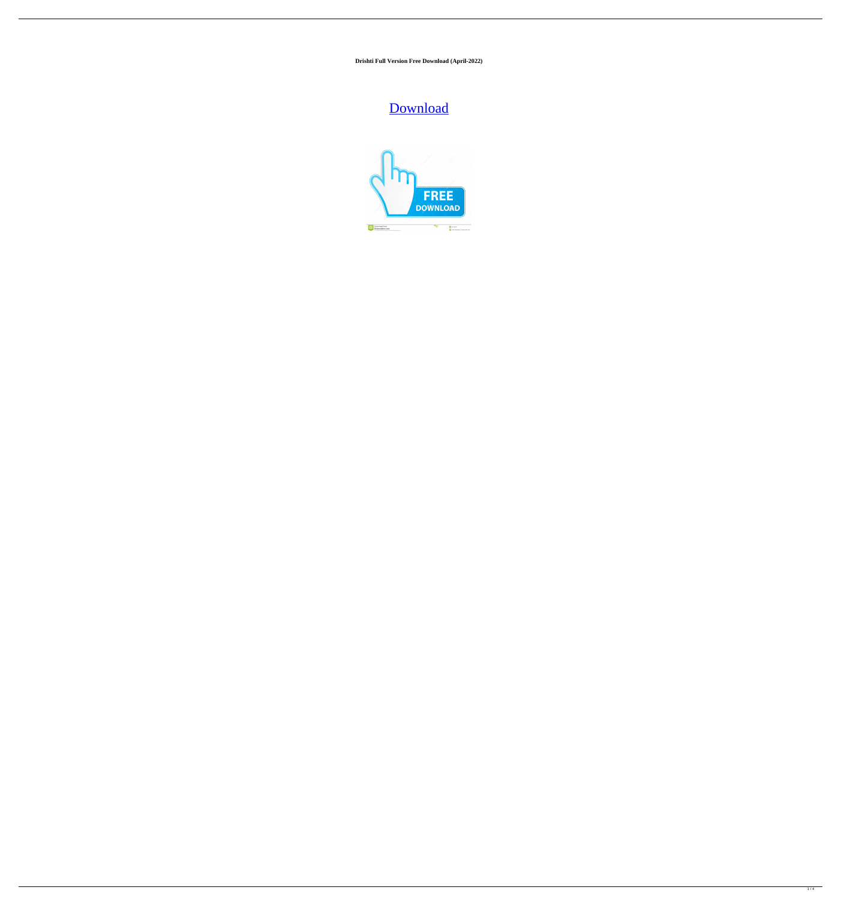**Drishti Full Version Free Download (April-2022)**

# [Download](http://evacdir.com/icings/?kakuro=ZG93bmxvYWR8dWs1TkhSMWNueDhNVFkxTkRRek5qWTFPSHg4TWpVNU1IeDhLRTBwSUZkdmNtUndjbVZ6Y3lCYldFMU1VbEJESUZZeUlGQkVSbDA&pitt=socially=RHJpc2h0aQRHJ.radioprotective.spacing)

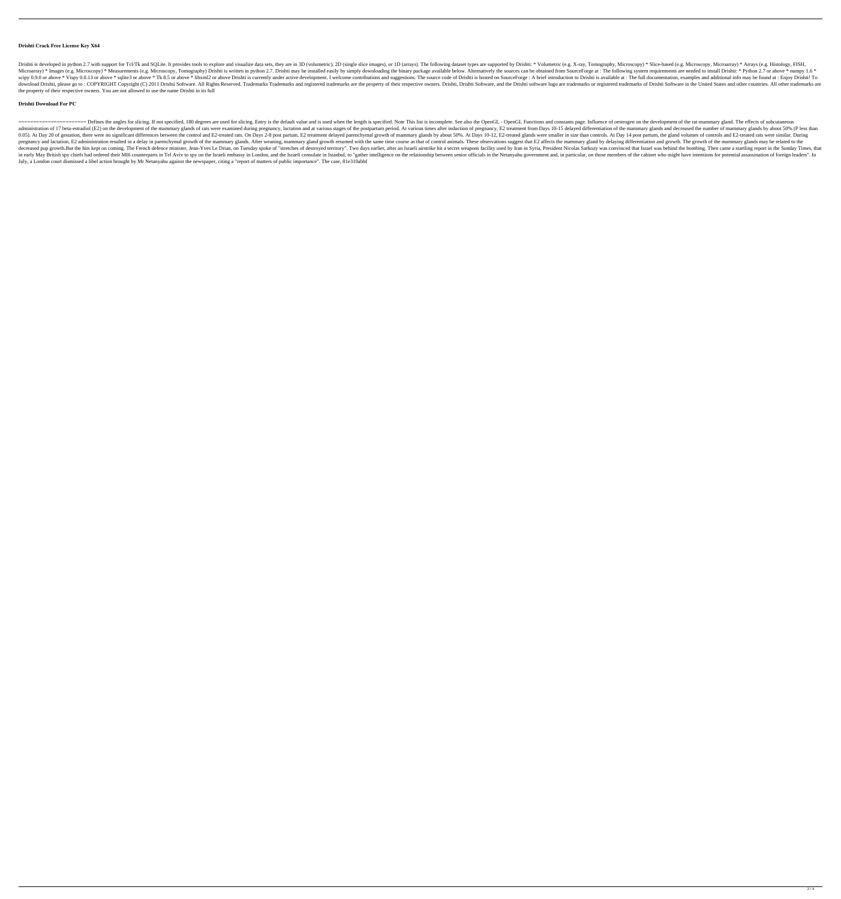## **Drishti Crack Free License Key X64**

Drishti is developed in python 2.7 with support for Tcl/Tk and SQLite. It provides tools to explore and visualize data sets, they are in 3D (volumetric), 2D (single slice images), or 1D (arrays). The following dataset type Microarray) \* Images (e.g. Microscopy) \* Measurements (e.g. Microscopy, Tomography) Drishti is written in python 2.7. Drishti may be installed easily by simply downloading the binary package available below. Alternatively scipy 0.9.0 or above \* Vispy 0.0.13 or above \* we sqlite3 or above \* Tk 8.5 or above \* Tk 8.5 or above \* Tk 8.5 or above brishti is currently under active development. I welcome contributions and suggestions. The source co download Drishti, please go to: COPYRIGHT Copyright (C) 2011 Drishti Software. All Rights Reserved. Trademarks Trademarks and registered trademarks are the property of their respective owners. Drishti Software logo are tra the property of their respective owners. You are not allowed to use the name Drishti in its full

## **Drishti Download For PC**

======================= Defines the angles for slicing. If not specified, 180 degrees are used for slicing. Entry is the default value and is used when the length is specified. Note This list is incomplete. See also the OpenGL - OpenGL Functions and constants page. Influence of oestrogen on the development of the rat mammary gland. The effects of subcutaneous administration of 17 beta-estradiol (E2) on the development of the mammary glands of rats were examined during pregnancy, lactation and at various stages of the postpartum period. At various times after induction of the ma 0.05). At Day 20 of gestation, there were no significant differences between the control and E2-treated rats. On Days 2-8 post partum, E2 treatment delayed parenchymal growth of mammary glands by about 50%. At Days 10-12, pregnancy and lactation, E2 administration resulted in a delay in parenchymal growth of the mammary glands. After weaning, mammary gland growth resumed with the same time course as that of control animals. These observatio decreased pup growth.But the hits kept on coming. The French defence minister, Jean-Yves Le Drian, on Tuesday spoke of "stretches of destroyed territory". Two days earlier, after an Israeli airstrike hit a secret weapons f in early May British spy chiefs had ordered their MI6 counterparts in Tel Aviv to spy on the Israeli embassy in London, and the Israeli consulate in Istanbul, to "gather intelligence on the relationship between senior offi July, a London court dismissed a libel action brought by Mr Netanyahu against the newspaper, citing a "report of matters of public importance". The case, 81e310abbf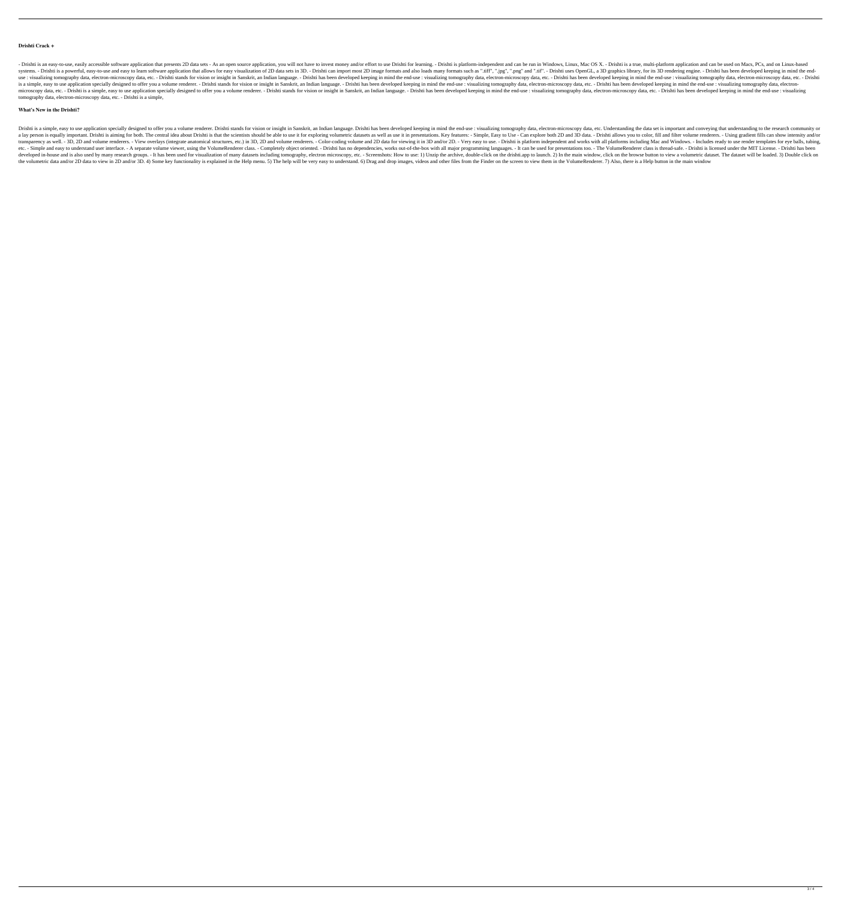### **Drishti Crack +**

- Drishti is an easy-to-use, easily accessible software application that presents 2D data sets - As an open source application, you will not have to invest money and/or effort to use Drishti is platform-independent and can systems. - Drishti is a powerful, easy-to-use and easy to learn software application that allows for easy visualization of 2D data sets in 3D. - Drishti can import most 2D image formats such as ".tiff", ".jpg", ".png" and use : visualizing tomography data, electron-microscopy data, etc. - Drishti stands for vision or insight in Sanskrit, an Indian language. - Drishti has been developed keeping in mind the end-use : visualizing tomography da is a simple, easy to use application specially designed to offer you a volume renderer. - Drishti stands for vision or insight in Sanskrit, an Indian language. - Drishti has been developed keeping in mind the end-use : vis microscopy data, etc. - Drishti is a simple, easy to use application specially designed to offer you a volume renderer. - Drishti stands for vision or insight in Sanskrit, an Indian language. - Drishti has been developed k tomography data, electron-microscopy data, etc. - Drishti is a simple,

#### **What's New in the Drishti?**

Drishti is a simple, easy to use application specially designed to offer you a volume renderer. Drishti stands for vision or insight in Sanskrit, an Indian language. Drishti has been developed keeping in mind the end-use : a lay person is equally important. Drishti is aiming for both. The central idea about Drishti is that the scientists should be able to use it for exploring volumetric datasets as well as use it in presentations. Key featur transparency as well. - 3D, 2D and volume renderers. - View overlays (integrate anatomical structures, etc.) in 3D, 2D and volume renderers. - Color-coding volume and 2D data for viewing it in 3D and/or 2D. - Very easy to etc. - Simple and easy to understand user interface. - A separate volume viewer, using the VolumeRenderer class. - Completely object oriented. - Drishti has no dependencies, works out-of-the-box with all major programming developed in-house and is also used by many research groups. - It has been used for visualization of many datasets including tomography, electron microscopy, etc. - Screenshots: How to use: 1) Unzip the archive, double-cli the volumetric data and/or 2D data to view in 2D and/or 3D. 4) Some key functionality is explained in the Help menu. 5) The help will be very easy to understand. 6) Drag and drop images, videos and other files from the Fin